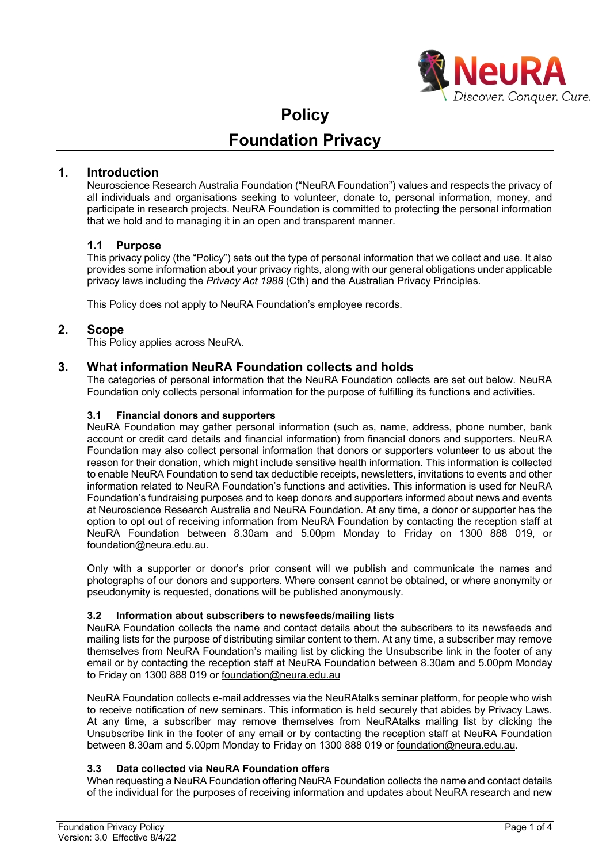

# **Policy Foundation Privacy**

# **1. Introduction**

Neuroscience Research Australia Foundation ("NeuRA Foundation") values and respects the privacy of all individuals and organisations seeking to volunteer, donate to, personal information, money, and participate in research projects. NeuRA Foundation is committed to protecting the personal information that we hold and to managing it in an open and transparent manner.

#### **1.1 Purpose**

This privacy policy (the "Policy") sets out the type of personal information that we collect and use. It also provides some information about your privacy rights, along with our general obligations under applicable privacy laws including the *Privacy Act 1988* (Cth) and the Australian Privacy Principles.

This Policy does not apply to NeuRA Foundation's employee records.

#### **2. Scope**

This Policy applies across NeuRA.

# **3. What information NeuRA Foundation collects and holds**

The categories of personal information that the NeuRA Foundation collects are set out below. NeuRA Foundation only collects personal information for the purpose of fulfilling its functions and activities.

#### **3.1 Financial donors and supporters**

NeuRA Foundation may gather personal information (such as, name, address, phone number, bank account or credit card details and financial information) from financial donors and supporters. NeuRA Foundation may also collect personal information that donors or supporters volunteer to us about the reason for their donation, which might include sensitive health information. This information is collected to enable NeuRA Foundation to send tax deductible receipts, newsletters, invitations to events and other information related to NeuRA Foundation's functions and activities. This information is used for NeuRA Foundation's fundraising purposes and to keep donors and supporters informed about news and events at Neuroscience Research Australia and NeuRA Foundation. At any time, a donor or supporter has the option to opt out of receiving information from NeuRA Foundation by contacting the reception staff at NeuRA Foundation between 8.30am and 5.00pm Monday to Friday on 1300 888 019, or foundation@neura.edu.au.

Only with a supporter or donor's prior consent will we publish and communicate the names and photographs of our donors and supporters. Where consent cannot be obtained, or where anonymity or pseudonymity is requested, donations will be published anonymously.

#### **3.2 Information about subscribers to newsfeeds/mailing lists**

NeuRA Foundation collects the name and contact details about the subscribers to its newsfeeds and mailing lists for the purpose of distributing similar content to them. At any time, a subscriber may remove themselves from NeuRA Foundation's mailing list by clicking the Unsubscribe link in the footer of any email or by contacting the reception staff at NeuRA Foundation between 8.30am and 5.00pm Monday to Friday on 1300 888 019 or foundation@neura.edu.au

NeuRA Foundation collects e-mail addresses via the NeuRAtalks seminar platform, for people who wish to receive notification of new seminars. This information is held securely that abides by Privacy Laws. At any time, a subscriber may remove themselves from NeuRAtalks mailing list by clicking the Unsubscribe link in the footer of any email or by contacting the reception staff at NeuRA Foundation between 8.30am and 5.00pm Monday to Friday on 1300 888 019 or foundation@neura.edu.au.

# **3.3 Data collected via NeuRA Foundation offers**

When requesting a NeuRA Foundation offering NeuRA Foundation collects the name and contact details of the individual for the purposes of receiving information and updates about NeuRA research and new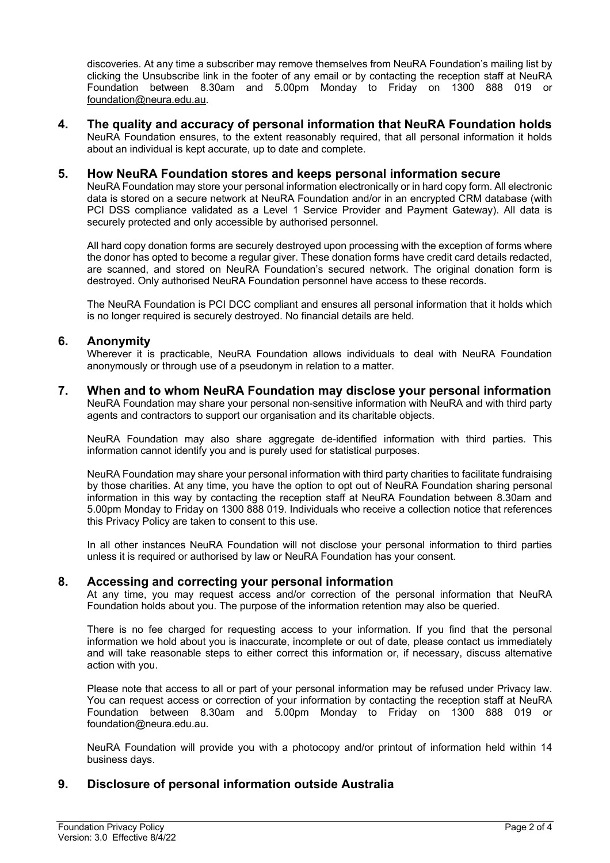discoveries. At any time a subscriber may remove themselves from NeuRA Foundation's mailing list by clicking the Unsubscribe link in the footer of any email or by contacting the reception staff at NeuRA Foundation between 8.30am and 5.00pm Monday to Friday on 1300 888 019 or foundation@neura.edu.au.

**4. The quality and accuracy of personal information that NeuRA Foundation holds** NeuRA Foundation ensures, to the extent reasonably required, that all personal information it holds about an individual is kept accurate, up to date and complete.

## **5. How NeuRA Foundation stores and keeps personal information secure**

NeuRA Foundation may store your personal information electronically or in hard copy form. All electronic data is stored on a secure network at NeuRA Foundation and/or in an encrypted CRM database (with PCI DSS compliance validated as a Level 1 Service Provider and Payment Gateway). All data is securely protected and only accessible by authorised personnel.

All hard copy donation forms are securely destroyed upon processing with the exception of forms where the donor has opted to become a regular giver. These donation forms have credit card details redacted, are scanned, and stored on NeuRA Foundation's secured network. The original donation form is destroyed. Only authorised NeuRA Foundation personnel have access to these records.

The NeuRA Foundation is PCI DCC compliant and ensures all personal information that it holds which is no longer required is securely destroyed. No financial details are held.

#### **6. Anonymity**

Wherever it is practicable, NeuRA Foundation allows individuals to deal with NeuRA Foundation anonymously or through use of a pseudonym in relation to a matter.

**7. When and to whom NeuRA Foundation may disclose your personal information** NeuRA Foundation may share your personal non-sensitive information with NeuRA and with third party agents and contractors to support our organisation and its charitable objects.

NeuRA Foundation may also share aggregate de-identified information with third parties. This information cannot identify you and is purely used for statistical purposes.

NeuRA Foundation may share your personal information with third party charities to facilitate fundraising by those charities. At any time, you have the option to opt out of NeuRA Foundation sharing personal information in this way by contacting the reception staff at NeuRA Foundation between 8.30am and 5.00pm Monday to Friday on 1300 888 019. Individuals who receive a collection notice that references this Privacy Policy are taken to consent to this use.

In all other instances NeuRA Foundation will not disclose your personal information to third parties unless it is required or authorised by law or NeuRA Foundation has your consent.

#### **8. Accessing and correcting your personal information**

At any time, you may request access and/or correction of the personal information that NeuRA Foundation holds about you. The purpose of the information retention may also be queried.

There is no fee charged for requesting access to your information. If you find that the personal information we hold about you is inaccurate, incomplete or out of date, please contact us immediately and will take reasonable steps to either correct this information or, if necessary, discuss alternative action with you.

Please note that access to all or part of your personal information may be refused under Privacy law. You can request access or correction of your information by contacting the reception staff at NeuRA Foundation between 8.30am and 5.00pm Monday to Friday on 1300 888 019 or foundation@neura.edu.au.

NeuRA Foundation will provide you with a photocopy and/or printout of information held within 14 business days.

# **9. Disclosure of personal information outside Australia**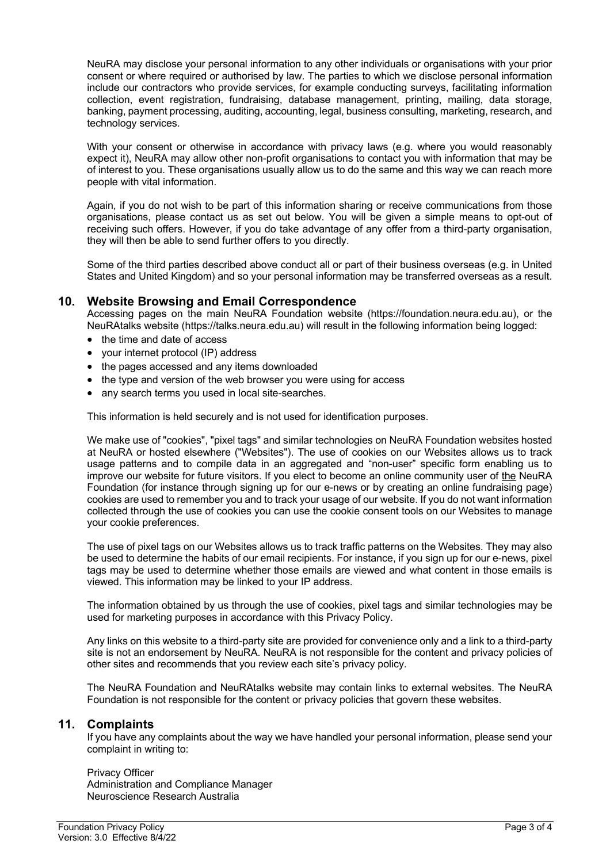NeuRA may disclose your personal information to any other individuals or organisations with your prior consent or where required or authorised by law. The parties to which we disclose personal information include our contractors who provide services, for example conducting surveys, facilitating information collection, event registration, fundraising, database management, printing, mailing, data storage, banking, payment processing, auditing, accounting, legal, business consulting, marketing, research, and technology services.

With your consent or otherwise in accordance with privacy laws (e.g. where you would reasonably expect it), NeuRA may allow other non-profit organisations to contact you with information that may be of interest to you. These organisations usually allow us to do the same and this way we can reach more people with vital information.

Again, if you do not wish to be part of this information sharing or receive communications from those organisations, please contact us as set out below. You will be given a simple means to opt-out of receiving such offers. However, if you do take advantage of any offer from a third-party organisation, they will then be able to send further offers to you directly.

Some of the third parties described above conduct all or part of their business overseas (e.g. in United States and United Kingdom) and so your personal information may be transferred overseas as a result.

# **10. Website Browsing and Email Correspondence**

Accessing pages on the main NeuRA Foundation website (https://foundation.neura.edu.au), or the NeuRAtalks website (https://talks.neura.edu.au) will result in the following information being logged:

- the time and date of access
- your internet protocol (IP) address
- the pages accessed and any items downloaded
- the type and version of the web browser you were using for access
- any search terms you used in local site-searches.

This information is held securely and is not used for identification purposes.

We make use of "cookies", "pixel tags" and similar technologies on NeuRA Foundation websites hosted at NeuRA or hosted elsewhere ("Websites"). The use of cookies on our Websites allows us to track usage patterns and to compile data in an aggregated and "non-user" specific form enabling us to improve our website for future visitors. If you elect to become an online community user of the NeuRA Foundation (for instance through signing up for our e-news or by creating an online fundraising page) cookies are used to remember you and to track your usage of our website. If you do not want information collected through the use of cookies you can use the cookie consent tools on our Websites to manage your cookie preferences.

The use of pixel tags on our Websites allows us to track traffic patterns on the Websites. They may also be used to determine the habits of our email recipients. For instance, if you sign up for our e-news, pixel tags may be used to determine whether those emails are viewed and what content in those emails is viewed. This information may be linked to your IP address.

The information obtained by us through the use of cookies, pixel tags and similar technologies may be used for marketing purposes in accordance with this Privacy Policy.

Any links on this website to a third-party site are provided for convenience only and a link to a third-party site is not an endorsement by NeuRA. NeuRA is not responsible for the content and privacy policies of other sites and recommends that you review each site's privacy policy.

The NeuRA Foundation and NeuRAtalks website may contain links to external websites. The NeuRA Foundation is not responsible for the content or privacy policies that govern these websites.

## **11. Complaints**

If you have any complaints about the way we have handled your personal information, please send your complaint in writing to:

Privacy Officer Administration and Compliance Manager Neuroscience Research Australia